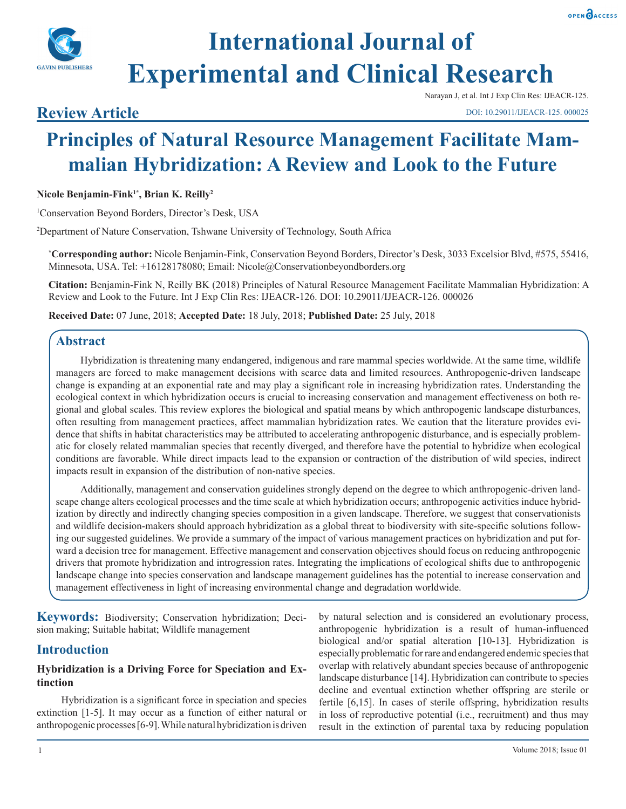



# **International Journal of Experimental and Clinical Research**

# **Review Article**

Narayan J, et al. Int J Exp Clin Res: IJEACR-125.

#### DOI: 10.29011/IJEACR-125. 000025

# **Principles of Natural Resource Management Facilitate Mammalian Hybridization: A Review and Look to the Future**

**Nicole Benjamin-Fink1\*, Brian K. Reilly2**

1 Conservation Beyond Borders, Director's Desk, USA

2 Department of Nature Conservation, Tshwane University of Technology, South Africa

**\* Corresponding author:** Nicole Benjamin-Fink, Conservation Beyond Borders, Director's Desk, 3033 Excelsior Blvd, #575, 55416, Minnesota, USA. Tel: +16128178080; Email: Nicole@Conservationbeyondborders.org

**Citation:** Benjamin-Fink N, Reilly BK (2018) Principles of Natural Resource Management Facilitate Mammalian Hybridization: A Review and Look to the Future. Int J Exp Clin Res: IJEACR-126. DOI: 10.29011/IJEACR-126. 000026

**Received Date:** 07 June, 2018; **Accepted Date:** 18 July, 2018; **Published Date:** 25 July, 2018

#### **Abstract**

Hybridization is threatening many endangered, indigenous and rare mammal species worldwide. At the same time, wildlife managers are forced to make management decisions with scarce data and limited resources. Anthropogenic-driven landscape change is expanding at an exponential rate and may play a significant role in increasing hybridization rates. Understanding the ecological context in which hybridization occurs is crucial to increasing conservation and management effectiveness on both regional and global scales. This review explores the biological and spatial means by which anthropogenic landscape disturbances, often resulting from management practices, affect mammalian hybridization rates. We caution that the literature provides evidence that shifts in habitat characteristics may be attributed to accelerating anthropogenic disturbance, and is especially problematic for closely related mammalian species that recently diverged, and therefore have the potential to hybridize when ecological conditions are favorable. While direct impacts lead to the expansion or contraction of the distribution of wild species, indirect impacts result in expansion of the distribution of non-native species.

Additionally, management and conservation guidelines strongly depend on the degree to which anthropogenic-driven landscape change alters ecological processes and the time scale at which hybridization occurs; anthropogenic activities induce hybridization by directly and indirectly changing species composition in a given landscape. Therefore, we suggest that conservationists and wildlife decision-makers should approach hybridization as a global threat to biodiversity with site-specific solutions following our suggested guidelines. We provide a summary of the impact of various management practices on hybridization and put forward a decision tree for management. Effective management and conservation objectives should focus on reducing anthropogenic drivers that promote hybridization and introgression rates. Integrating the implications of ecological shifts due to anthropogenic landscape change into species conservation and landscape management guidelines has the potential to increase conservation and management effectiveness in light of increasing environmental change and degradation worldwide.

**Keywords:** Biodiversity; Conservation hybridization; Decision making; Suitable habitat; Wildlife management

#### **Introduction**

#### **Hybridization is a Driving Force for Speciation and Extinction**

Hybridization is a significant force in speciation and species extinction [1-5]. It may occur as a function of either natural or anthropogenic processes [6-9]. While natural hybridization is driven

by natural selection and is considered an evolutionary process, anthropogenic hybridization is a result of human-influenced biological and/or spatial alteration [10-13]. Hybridization is especially problematic for rare and endangered endemic species that overlap with relatively abundant species because of anthropogenic landscape disturbance [14]. Hybridization can contribute to species decline and eventual extinction whether offspring are sterile or fertile [6,15]. In cases of sterile offspring, hybridization results in loss of reproductive potential (i.e., recruitment) and thus may result in the extinction of parental taxa by reducing population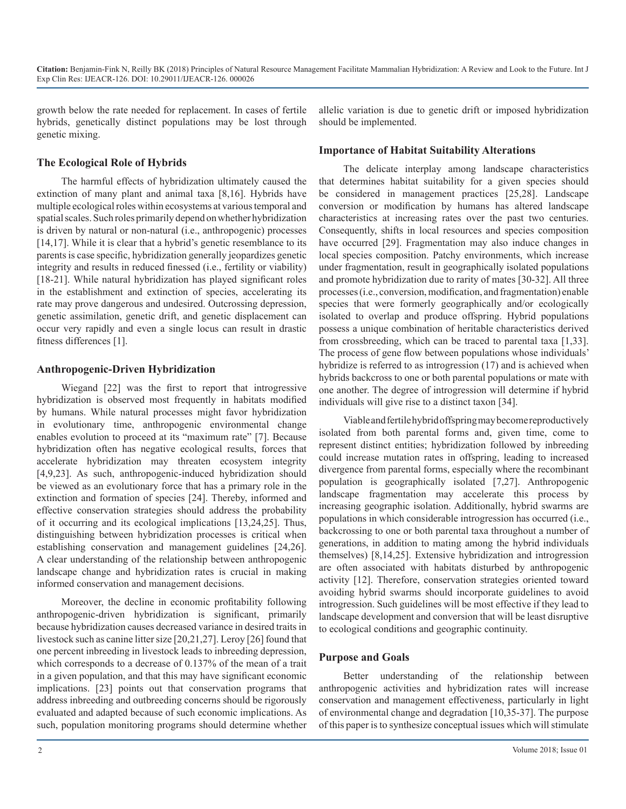growth below the rate needed for replacement. In cases of fertile hybrids, genetically distinct populations may be lost through genetic mixing.

allelic variation is due to genetic drift or imposed hybridization should be implemented.

#### **The Ecological Role of Hybrids**

The harmful effects of hybridization ultimately caused the extinction of many plant and animal taxa [8,16]. Hybrids have multiple ecological roles within ecosystems at various temporal and spatial scales. Such roles primarily depend on whether hybridization is driven by natural or non-natural (i.e., anthropogenic) processes [14,17]. While it is clear that a hybrid's genetic resemblance to its parents is case specific, hybridization generally jeopardizes genetic integrity and results in reduced finessed (i.e., fertility or viability) [18-21]. While natural hybridization has played significant roles in the establishment and extinction of species, accelerating its rate may prove dangerous and undesired. Outcrossing depression, genetic assimilation, genetic drift, and genetic displacement can occur very rapidly and even a single locus can result in drastic fitness differences [1].

#### **Anthropogenic-Driven Hybridization**

Wiegand [22] was the first to report that introgressive hybridization is observed most frequently in habitats modified by humans. While natural processes might favor hybridization in evolutionary time, anthropogenic environmental change enables evolution to proceed at its "maximum rate" [7]. Because hybridization often has negative ecological results, forces that accelerate hybridization may threaten ecosystem integrity [4,9,23]. As such, anthropogenic-induced hybridization should be viewed as an evolutionary force that has a primary role in the extinction and formation of species [24]. Thereby, informed and effective conservation strategies should address the probability of it occurring and its ecological implications [13,24,25]. Thus, distinguishing between hybridization processes is critical when establishing conservation and management guidelines [24,26]. A clear understanding of the relationship between anthropogenic landscape change and hybridization rates is crucial in making informed conservation and management decisions.

Moreover, the decline in economic profitability following anthropogenic-driven hybridization is significant, primarily because hybridization causes decreased variance in desired traits in livestock such as canine litter size [20,21,27]. Leroy [26] found that one percent inbreeding in livestock leads to inbreeding depression, which corresponds to a decrease of 0.137% of the mean of a trait in a given population, and that this may have significant economic implications. [23] points out that conservation programs that address inbreeding and outbreeding concerns should be rigorously evaluated and adapted because of such economic implications. As such, population monitoring programs should determine whether

#### **Importance of Habitat Suitability Alterations**

The delicate interplay among landscape characteristics that determines habitat suitability for a given species should be considered in management practices [25,28]. Landscape conversion or modification by humans has altered landscape characteristics at increasing rates over the past two centuries. Consequently, shifts in local resources and species composition have occurred [29]. Fragmentation may also induce changes in local species composition. Patchy environments, which increase under fragmentation, result in geographically isolated populations and promote hybridization due to rarity of mates [30-32]. All three processes (i.e., conversion, modification, and fragmentation) enable species that were formerly geographically and/or ecologically isolated to overlap and produce offspring. Hybrid populations possess a unique combination of heritable characteristics derived from crossbreeding, which can be traced to parental taxa [1,33]. The process of gene flow between populations whose individuals' hybridize is referred to as introgression (17) and is achieved when hybrids backcross to one or both parental populations or mate with one another. The degree of introgression will determine if hybrid individuals will give rise to a distinct taxon [34].

Viable and fertile hybrid offspring may become reproductively isolated from both parental forms and, given time, come to represent distinct entities; hybridization followed by inbreeding could increase mutation rates in offspring, leading to increased divergence from parental forms, especially where the recombinant population is geographically isolated [7,27]. Anthropogenic landscape fragmentation may accelerate this process by increasing geographic isolation. Additionally, hybrid swarms are populations in which considerable introgression has occurred (i.e., backcrossing to one or both parental taxa throughout a number of generations, in addition to mating among the hybrid individuals themselves) [8,14,25]. Extensive hybridization and introgression are often associated with habitats disturbed by anthropogenic activity [12]. Therefore, conservation strategies oriented toward avoiding hybrid swarms should incorporate guidelines to avoid introgression. Such guidelines will be most effective if they lead to landscape development and conversion that will be least disruptive to ecological conditions and geographic continuity.

#### **Purpose and Goals**

Better understanding of the relationship between anthropogenic activities and hybridization rates will increase conservation and management effectiveness, particularly in light of environmental change and degradation [10,35-37]. The purpose of this paper is to synthesize conceptual issues which will stimulate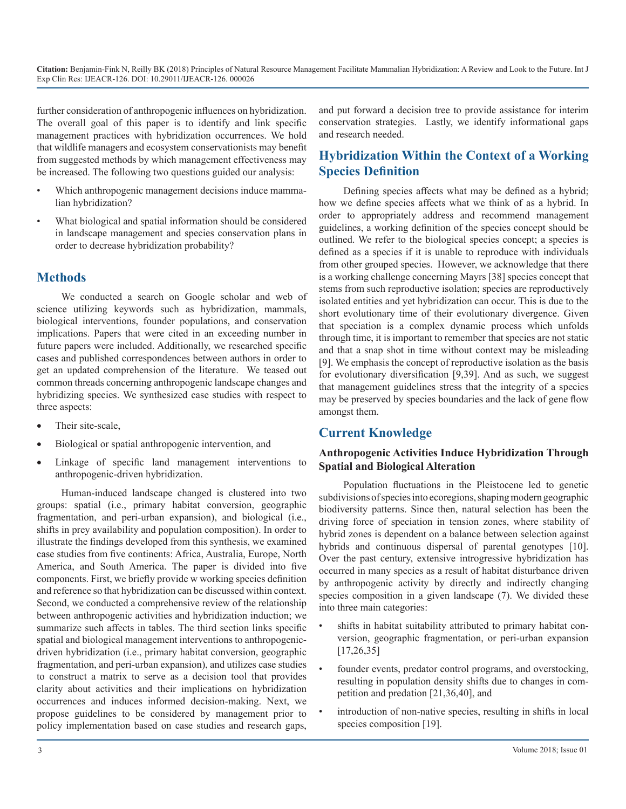further consideration of anthropogenic influences on hybridization. The overall goal of this paper is to identify and link specific management practices with hybridization occurrences. We hold that wildlife managers and ecosystem conservationists may benefit from suggested methods by which management effectiveness may be increased. The following two questions guided our analysis:

- Which anthropogenic management decisions induce mammalian hybridization?
- What biological and spatial information should be considered in landscape management and species conservation plans in order to decrease hybridization probability?

#### **Methods**

We conducted a search on Google scholar and web of science utilizing keywords such as hybridization, mammals, biological interventions, founder populations, and conservation implications. Papers that were cited in an exceeding number in future papers were included. Additionally, we researched specific cases and published correspondences between authors in order to get an updated comprehension of the literature. We teased out common threads concerning anthropogenic landscape changes and hybridizing species. We synthesized case studies with respect to three aspects:

- Their site-scale,
- Biological or spatial anthropogenic intervention, and
- Linkage of specific land management interventions to anthropogenic-driven hybridization.

Human-induced landscape changed is clustered into two groups: spatial (i.e., primary habitat conversion, geographic fragmentation, and peri-urban expansion), and biological (i.e., shifts in prey availability and population composition). In order to illustrate the findings developed from this synthesis, we examined case studies from five continents: Africa, Australia, Europe, North America, and South America. The paper is divided into five components. First, we briefly provide w working species definition and reference so that hybridization can be discussed within context. Second, we conducted a comprehensive review of the relationship between anthropogenic activities and hybridization induction; we summarize such affects in tables. The third section links specific spatial and biological management interventions to anthropogenicdriven hybridization (i.e., primary habitat conversion, geographic fragmentation, and peri-urban expansion), and utilizes case studies to construct a matrix to serve as a decision tool that provides clarity about activities and their implications on hybridization occurrences and induces informed decision-making. Next, we propose guidelines to be considered by management prior to policy implementation based on case studies and research gaps,

and put forward a decision tree to provide assistance for interim conservation strategies. Lastly, we identify informational gaps and research needed.

## **Hybridization Within the Context of a Working Species Definition**

Defining species affects what may be defined as a hybrid; how we define species affects what we think of as a hybrid. In order to appropriately address and recommend management guidelines, a working definition of the species concept should be outlined. We refer to the biological species concept; a species is defined as a species if it is unable to reproduce with individuals from other grouped species. However, we acknowledge that there is a working challenge concerning Mayrs [38] species concept that stems from such reproductive isolation; species are reproductively isolated entities and yet hybridization can occur. This is due to the short evolutionary time of their evolutionary divergence. Given that speciation is a complex dynamic process which unfolds through time, it is important to remember that species are not static and that a snap shot in time without context may be misleading [9]. We emphasis the concept of reproductive isolation as the basis for evolutionary diversification [9,39]. And as such, we suggest that management guidelines stress that the integrity of a species may be preserved by species boundaries and the lack of gene flow amongst them.

### **Current Knowledge**

#### **Anthropogenic Activities Induce Hybridization Through Spatial and Biological Alteration**

Population fluctuations in the Pleistocene led to genetic subdivisions of species into ecoregions, shaping modern geographic biodiversity patterns. Since then, natural selection has been the driving force of speciation in tension zones, where stability of hybrid zones is dependent on a balance between selection against hybrids and continuous dispersal of parental genotypes [10]. Over the past century, extensive introgressive hybridization has occurred in many species as a result of habitat disturbance driven by anthropogenic activity by directly and indirectly changing species composition in a given landscape (7). We divided these into three main categories:

- shifts in habitat suitability attributed to primary habitat conversion, geographic fragmentation, or peri-urban expansion [17,26,35]
- founder events, predator control programs, and overstocking, resulting in population density shifts due to changes in competition and predation [21,36,40], and
- introduction of non-native species, resulting in shifts in local species composition [19].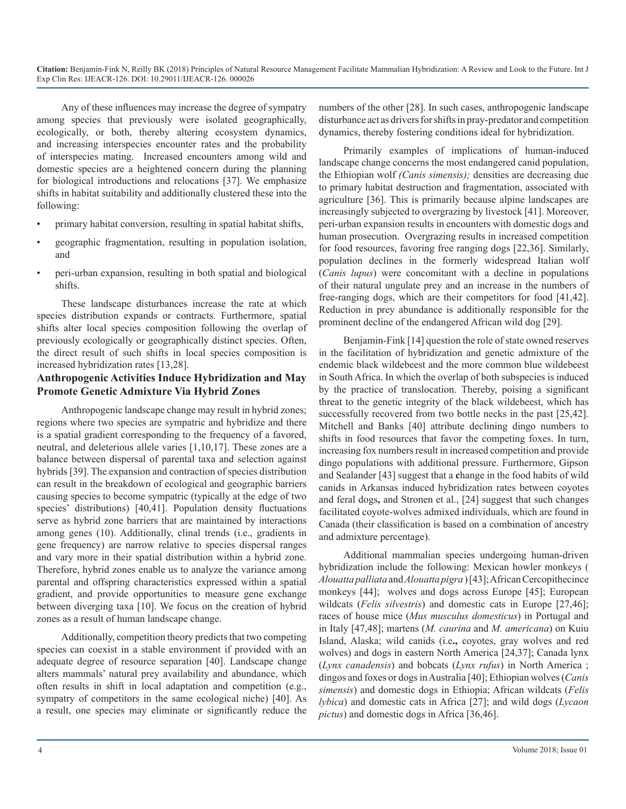Any of these influences may increase the degree of sympatry among species that previously were isolated geographically, ecologically, or both, thereby altering ecosystem dynamics, and increasing interspecies encounter rates and the probability of interspecies mating. Increased encounters among wild and domestic species are a heightened concern during the planning for biological introductions and relocations [37]. We emphasize shifts in habitat suitability and additionally clustered these into the following:

- primary habitat conversion, resulting in spatial habitat shifts,
- geographic fragmentation, resulting in population isolation, and
- peri-urban expansion, resulting in both spatial and biological shifts.

These landscape disturbances increase the rate at which species distribution expands or contracts. Furthermore, spatial shifts alter local species composition following the overlap of previously ecologically or geographically distinct species. Often, the direct result of such shifts in local species composition is increased hybridization rates [13,28].

#### **Anthropogenic Activities Induce Hybridization and May Promote Genetic Admixture Via Hybrid Zones**

Anthropogenic landscape change may result in hybrid zones; regions where two species are sympatric and hybridize and there is a spatial gradient corresponding to the frequency of a favored, neutral, and deleterious allele varies [1,10,17]. These zones are a balance between dispersal of parental taxa and selection against hybrids [39]. The expansion and contraction of species distribution can result in the breakdown of ecological and geographic barriers causing species to become sympatric (typically at the edge of two species' distributions) [40,41]. Population density fluctuations serve as hybrid zone barriers that are maintained by interactions among genes (10). Additionally, clinal trends (i.e., gradients in gene frequency) are narrow relative to species dispersal ranges and vary more in their spatial distribution within a hybrid zone. Therefore, hybrid zones enable us to analyze the variance among parental and offspring characteristics expressed within a spatial gradient, and provide opportunities to measure gene exchange between diverging taxa [10]. We focus on the creation of hybrid zones as a result of human landscape change.

Additionally, competition theory predicts that two competing species can coexist in a stable environment if provided with an adequate degree of resource separation [40]. Landscape change alters mammals' natural prey availability and abundance, which often results in shift in local adaptation and competition (e.g., sympatry of competitors in the same ecological niche) [40]. As a result, one species may eliminate or significantly reduce the numbers of the other [28]. In such cases, anthropogenic landscape disturbance act as drivers for shifts in pray-predator and competition dynamics, thereby fostering conditions ideal for hybridization.

Primarily examples of implications of human-induced landscape change concerns the most endangered canid population, the Ethiopian wolf *(Canis simensis);* densities are decreasing due to primary habitat destruction and fragmentation, associated with agriculture [36]. This is primarily because alpine landscapes are increasingly subjected to overgrazing by livestock [41]. Moreover, peri-urban expansion results in encounters with domestic dogs and human prosecution. Overgrazing results in increased competition for food resources, favoring free ranging dogs [22,36]. Similarly, population declines in the formerly widespread Italian wolf (*Canis lupus*) were concomitant with a decline in populations of their natural ungulate prey and an increase in the numbers of free-ranging dogs, which are their competitors for food [41,42]. Reduction in prey abundance is additionally responsible for the prominent decline of the endangered African wild dog [29].

Benjamin-Fink [14] question the role of state owned reserves in the facilitation of hybridization and genetic admixture of the endemic black wildebeest and the more common blue wildebeest in South Africa. In which the overlap of both subspecies is induced by the practice of translocation. Thereby, poising a significant threat to the genetic integrity of the black wildebeest, which has successfully recovered from two bottle necks in the past [25,42]. Mitchell and Banks [40] attribute declining dingo numbers to shifts in food resources that favor the competing foxes. In turn, increasing fox numbers result in increased competition and provide dingo populations with additional pressure. Furthermore, Gipson and Sealander [43] suggest that a **c**hange in the food habits of wild canids in Arkansas induced hybridization rates between coyotes and feral dogs**,** and Stronen et al., [24] suggest that such changes facilitated coyote-wolves admixed individuals, which are found in Canada (their classification is based on a combination of ancestry and admixture percentage).

Additional mammalian species undergoing human-driven hybridization include the following: Mexican howler monkeys ( *Alouatta palliata* and *Alouatta pigra* ) [43]; African Cercopithecince monkeys [44]; wolves and dogs across Europe [45]; European wildcats (*Felis silvestris*) and domestic cats in Europe [27,46]; races of house mice (*Mus musculus domesticus*) in Portugal and in Italy [47,48]; martens (*M. caurina* and *M. americana*) on Kuiu Island, Alaska; wild canids (i.e**.,** coyotes, gray wolves and red wolves) and dogs in eastern North America [24,37]; Canada lynx (*Lynx canadensis*) and bobcats (*Lynx rufus*) in North America ; dingos and foxes or dogs in Australia [40]; Ethiopian wolves (*Canis simensis*) and domestic dogs in Ethiopia; African wildcats (*Felis lybica*) and domestic cats in Africa [27]; and wild dogs (*Lycaon pictus*) and domestic dogs in Africa [36,46].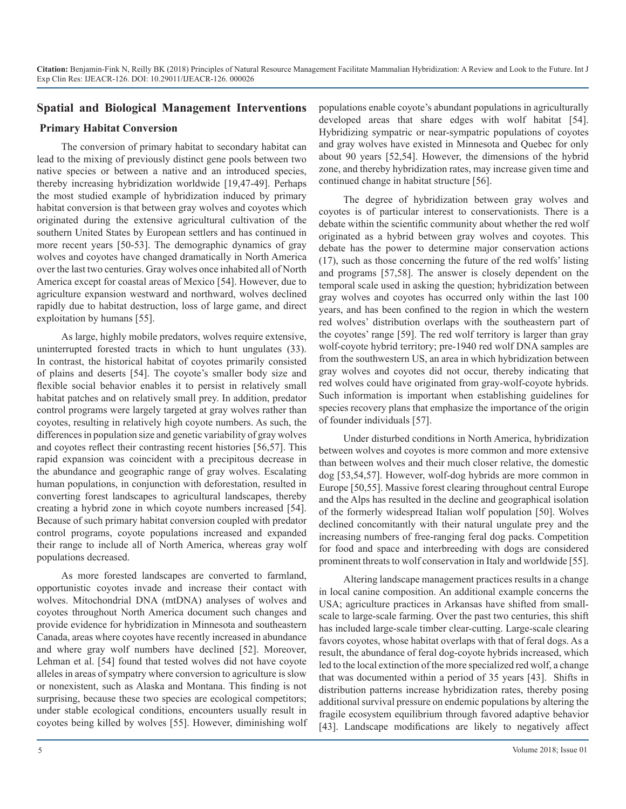#### **Spatial and Biological Management Interventions**

#### **Primary Habitat Conversion**

The conversion of primary habitat to secondary habitat can lead to the mixing of previously distinct gene pools between two native species or between a native and an introduced species, thereby increasing hybridization worldwide [19,47-49]. Perhaps the most studied example of hybridization induced by primary habitat conversion is that between gray wolves and coyotes which originated during the extensive agricultural cultivation of the southern United States by European settlers and has continued in more recent years [50-53]. The demographic dynamics of gray wolves and coyotes have changed dramatically in North America over the last two centuries. Gray wolves once inhabited all of North America except for coastal areas of Mexico [54]. However, due to agriculture expansion westward and northward, wolves declined rapidly due to habitat destruction, loss of large game, and direct exploitation by humans [55].

As large, highly mobile predators, wolves require extensive, uninterrupted forested tracts in which to hunt ungulates (33). In contrast, the historical habitat of coyotes primarily consisted of plains and deserts [54]. The coyote's smaller body size and flexible social behavior enables it to persist in relatively small habitat patches and on relatively small prey. In addition, predator control programs were largely targeted at gray wolves rather than coyotes, resulting in relatively high coyote numbers. As such, the differences in population size and genetic variability of gray wolves and coyotes reflect their contrasting recent histories [56,57]. This rapid expansion was coincident with a precipitous decrease in the abundance and geographic range of gray wolves. Escalating human populations, in conjunction with deforestation, resulted in converting forest landscapes to agricultural landscapes, thereby creating a hybrid zone in which coyote numbers increased [54]. Because of such primary habitat conversion coupled with predator control programs, coyote populations increased and expanded their range to include all of North America, whereas gray wolf populations decreased.

As more forested landscapes are converted to farmland, opportunistic coyotes invade and increase their contact with wolves. Mitochondrial DNA (mtDNA) analyses of wolves and coyotes throughout North America document such changes and provide evidence for hybridization in Minnesota and southeastern Canada, areas where coyotes have recently increased in abundance and where gray wolf numbers have declined [52]. Moreover, Lehman et al. [54] found that tested wolves did not have coyote alleles in areas of sympatry where conversion to agriculture is slow or nonexistent, such as Alaska and Montana. This finding is not surprising, because these two species are ecological competitors; under stable ecological conditions, encounters usually result in coyotes being killed by wolves [55]. However, diminishing wolf

populations enable coyote's abundant populations in agriculturally developed areas that share edges with wolf habitat [54]. Hybridizing sympatric or near-sympatric populations of coyotes and gray wolves have existed in Minnesota and Quebec for only about 90 years [52,54]. However, the dimensions of the hybrid zone, and thereby hybridization rates, may increase given time and continued change in habitat structure [56].

The degree of hybridization between gray wolves and coyotes is of particular interest to conservationists. There is a debate within the scientific community about whether the red wolf originated as a hybrid between gray wolves and coyotes. This debate has the power to determine major conservation actions (17), such as those concerning the future of the red wolfs' listing and programs [57,58]. The answer is closely dependent on the temporal scale used in asking the question; hybridization between gray wolves and coyotes has occurred only within the last 100 years, and has been confined to the region in which the western red wolves' distribution overlaps with the southeastern part of the coyotes' range [59]. The red wolf territory is larger than gray wolf-coyote hybrid territory; pre-1940 red wolf DNA samples are from the southwestern US, an area in which hybridization between gray wolves and coyotes did not occur, thereby indicating that red wolves could have originated from gray-wolf-coyote hybrids. Such information is important when establishing guidelines for species recovery plans that emphasize the importance of the origin of founder individuals [57].

Under disturbed conditions in North America, hybridization between wolves and coyotes is more common and more extensive than between wolves and their much closer relative, the domestic dog [53,54,57]. However, wolf-dog hybrids are more common in Europe [50,55]. Massive forest clearing throughout central Europe and the Alps has resulted in the decline and geographical isolation of the formerly widespread Italian wolf population [50]. Wolves declined concomitantly with their natural ungulate prey and the increasing numbers of free-ranging feral dog packs. Competition for food and space and interbreeding with dogs are considered prominent threats to wolf conservation in Italy and worldwide [55].

Altering landscape management practices results in a change in local canine composition. An additional example concerns the USA; agriculture practices in Arkansas have shifted from smallscale to large-scale farming. Over the past two centuries, this shift has included large-scale timber clear-cutting. Large-scale clearing favors coyotes, whose habitat overlaps with that of feral dogs. As a result, the abundance of feral dog-coyote hybrids increased, which led to the local extinction of the more specialized red wolf, a change that was documented within a period of 35 years [43]. Shifts in distribution patterns increase hybridization rates, thereby posing additional survival pressure on endemic populations by altering the fragile ecosystem equilibrium through favored adaptive behavior [43]. Landscape modifications are likely to negatively affect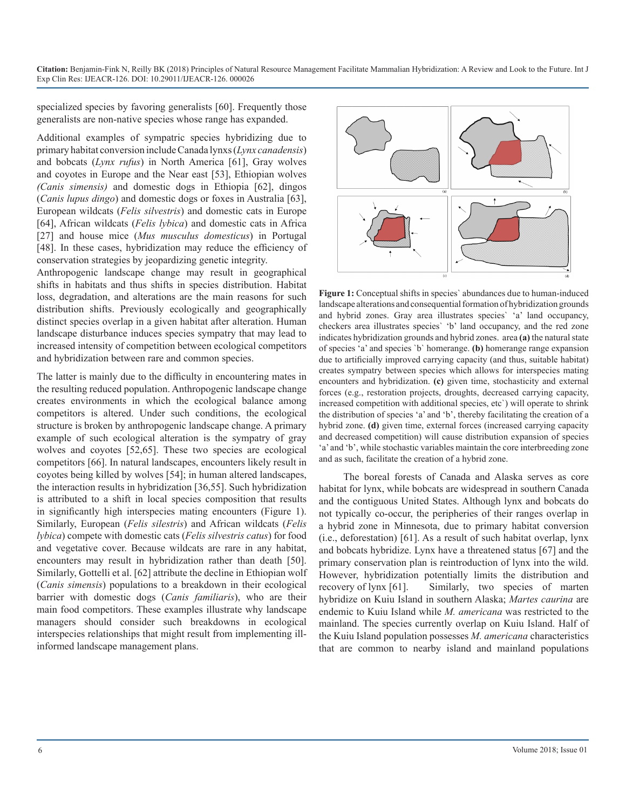specialized species by favoring generalists [60]. Frequently those generalists are non-native species whose range has expanded.

Additional examples of sympatric species hybridizing due to primary habitat conversion include Canada lynxs (*Lynx canadensis*) and bobcats (*Lynx rufus*) in North America [61], Gray wolves and coyotes in Europe and the Near east [53], Ethiopian wolves *(Canis simensis)* and domestic dogs in Ethiopia [62], dingos (*Canis lupus dingo*) and domestic dogs or foxes in Australia [63], European wildcats (*Felis silvestris*) and domestic cats in Europe [64], African wildcats (*Felis lybica*) and domestic cats in Africa [27] and house mice (*Mus musculus domesticus*) in Portugal [48]. In these cases, hybridization may reduce the efficiency of conservation strategies by jeopardizing genetic integrity.

Anthropogenic landscape change may result in geographical shifts in habitats and thus shifts in species distribution. Habitat loss, degradation, and alterations are the main reasons for such distribution shifts. Previously ecologically and geographically distinct species overlap in a given habitat after alteration. Human landscape disturbance induces species sympatry that may lead to increased intensity of competition between ecological competitors and hybridization between rare and common species.

The latter is mainly due to the difficulty in encountering mates in the resulting reduced population. Anthropogenic landscape change creates environments in which the ecological balance among competitors is altered. Under such conditions, the ecological structure is broken by anthropogenic landscape change. A primary example of such ecological alteration is the sympatry of gray wolves and coyotes [52,65]. These two species are ecological competitors [66]. In natural landscapes, encounters likely result in coyotes being killed by wolves [54]; in human altered landscapes, the interaction results in hybridization [36,55]. Such hybridization is attributed to a shift in local species composition that results in significantly high interspecies mating encounters (Figure 1). Similarly, European (*Felis silestris*) and African wildcats (*Felis lybica*) compete with domestic cats (*Felis silvestris catus*) for food and vegetative cover. Because wildcats are rare in any habitat, encounters may result in hybridization rather than death [50]. Similarly, Gottelli et al. [62] attribute the decline in Ethiopian wolf (*Canis simensis*) populations to a breakdown in their ecological barrier with domestic dogs (*Canis familiaris*), who are their main food competitors. These examples illustrate why landscape managers should consider such breakdowns in ecological interspecies relationships that might result from implementing illinformed landscape management plans.



**Figure 1:** Conceptual shifts in species` abundances due to human-induced landscape alterations and consequential formation of hybridization grounds and hybrid zones. Gray area illustrates species` 'a' land occupancy, checkers area illustrates species` 'b' land occupancy, and the red zone indicates hybridization grounds and hybrid zones. area **(a)** the natural state of species 'a' and species `b` homerange. **(b)** homerange range expansion due to artificially improved carrying capacity (and thus, suitable habitat) creates sympatry between species which allows for interspecies mating encounters and hybridization. **(c)** given time, stochasticity and external forces (e.g., restoration projects, droughts, decreased carrying capacity, increased competition with additional species, etc`) will operate to shrink the distribution of species 'a' and 'b', thereby facilitating the creation of a hybrid zone. **(d)** given time, external forces (increased carrying capacity and decreased competition) will cause distribution expansion of species 'a' and 'b', while stochastic variables maintain the core interbreeding zone and as such, facilitate the creation of a hybrid zone.

The boreal forests of Canada and Alaska serves as core habitat for lynx, while bobcats are widespread in southern Canada and the contiguous United States. Although lynx and bobcats do not typically co-occur, the peripheries of their ranges overlap in a hybrid zone in Minnesota, due to primary habitat conversion (i.e., deforestation) [61]. As a result of such habitat overlap, lynx and bobcats hybridize. Lynx have a threatened status [67] and the primary conservation plan is reintroduction of lynx into the wild. However, hybridization potentially limits the distribution and recovery of lynx [61]. Similarly, two species of marten hybridize on Kuiu Island in southern Alaska; *Martes caurina* are endemic to Kuiu Island while *M. americana* was restricted to the mainland. The species currently overlap on Kuiu Island. Half of the Kuiu Island population possesses *M. americana* characteristics that are common to nearby island and mainland populations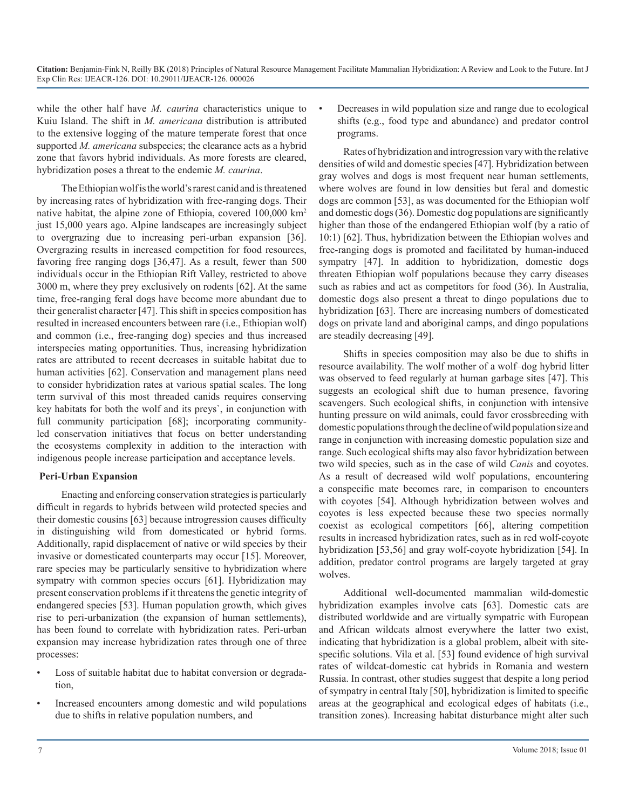while the other half have *M. caurina* characteristics unique to Kuiu Island. The shift in *M. americana* distribution is attributed to the extensive logging of the mature temperate forest that once supported *M. americana* subspecies; the clearance acts as a hybrid zone that favors hybrid individuals. As more forests are cleared, hybridization poses a threat to the endemic *M. caurina*.

The Ethiopian wolf is the world's rarest canid and is threatened by increasing rates of hybridization with free-ranging dogs. Their native habitat, the alpine zone of Ethiopia, covered 100,000 km2 just 15,000 years ago. Alpine landscapes are increasingly subject to overgrazing due to increasing peri-urban expansion [36]. Overgrazing results in increased competition for food resources, favoring free ranging dogs [36,47]. As a result, fewer than 500 individuals occur in the Ethiopian Rift Valley, restricted to above 3000 m, where they prey exclusively on rodents [62]. At the same time, free-ranging feral dogs have become more abundant due to their generalist character [47]. This shift in species composition has resulted in increased encounters between rare (i.e., Ethiopian wolf) and common (i.e., free-ranging dog) species and thus increased interspecies mating opportunities. Thus, increasing hybridization rates are attributed to recent decreases in suitable habitat due to human activities [62]. Conservation and management plans need to consider hybridization rates at various spatial scales. The long term survival of this most threaded canids requires conserving key habitats for both the wolf and its preys`, in conjunction with full community participation [68]; incorporating communityled conservation initiatives that focus on better understanding the ecosystems complexity in addition to the interaction with indigenous people increase participation and acceptance levels.

#### **Peri-Urban Expansion**

Enacting and enforcing conservation strategies is particularly difficult in regards to hybrids between wild protected species and their domestic cousins [63] because introgression causes difficulty in distinguishing wild from domesticated or hybrid forms. Additionally, rapid displacement of native or wild species by their invasive or domesticated counterparts may occur [15]. Moreover, rare species may be particularly sensitive to hybridization where sympatry with common species occurs [61]. Hybridization may present conservation problems if it threatens the genetic integrity of endangered species [53]. Human population growth, which gives rise to peri-urbanization (the expansion of human settlements), has been found to correlate with hybridization rates. Peri-urban expansion may increase hybridization rates through one of three processes:

- Loss of suitable habitat due to habitat conversion or degradation,
- Increased encounters among domestic and wild populations due to shifts in relative population numbers, and

• Decreases in wild population size and range due to ecological shifts (e.g., food type and abundance) and predator control programs.

Rates of hybridization and introgression vary with the relative densities of wild and domestic species [47]. Hybridization between gray wolves and dogs is most frequent near human settlements, where wolves are found in low densities but feral and domestic dogs are common [53], as was documented for the Ethiopian wolf and domestic dogs(36). Domestic dog populations are significantly higher than those of the endangered Ethiopian wolf (by a ratio of 10:1) [62]. Thus, hybridization between the Ethiopian wolves and free-ranging dogs is promoted and facilitated by human-induced sympatry [47]. In addition to hybridization, domestic dogs threaten Ethiopian wolf populations because they carry diseases such as rabies and act as competitors for food (36). In Australia, domestic dogs also present a threat to dingo populations due to hybridization [63]. There are increasing numbers of domesticated dogs on private land and aboriginal camps, and dingo populations are steadily decreasing [49].

Shifts in species composition may also be due to shifts in resource availability. The wolf mother of a wolf–dog hybrid litter was observed to feed regularly at human garbage sites [47]. This suggests an ecological shift due to human presence, favoring scavengers. Such ecological shifts, in conjunction with intensive hunting pressure on wild animals, could favor crossbreeding with domestic populations through the decline of wild population size and range in conjunction with increasing domestic population size and range. Such ecological shifts may also favor hybridization between two wild species, such as in the case of wild *Canis* and coyotes. As a result of decreased wild wolf populations, encountering a conspecific mate becomes rare, in comparison to encounters with coyotes [54]. Although hybridization between wolves and coyotes is less expected because these two species normally coexist as ecological competitors [66], altering competition results in increased hybridization rates, such as in red wolf-coyote hybridization [53,56] and gray wolf-coyote hybridization [54]. In addition, predator control programs are largely targeted at gray wolves.

Additional well-documented mammalian wild-domestic hybridization examples involve cats [63]. Domestic cats are distributed worldwide and are virtually sympatric with European and African wildcats almost everywhere the latter two exist, indicating that hybridization is a global problem, albeit with sitespecific solutions. Vila et al. [53] found evidence of high survival rates of wildcat-domestic cat hybrids in Romania and western Russia. In contrast, other studies suggest that despite a long period of sympatry in central Italy [50], hybridization is limited to specific areas at the geographical and ecological edges of habitats (i.e., transition zones). Increasing habitat disturbance might alter such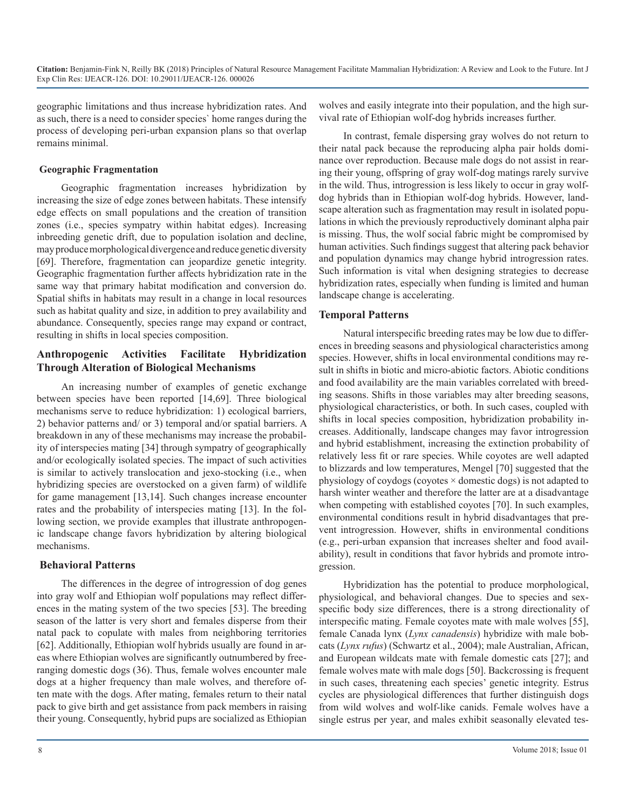geographic limitations and thus increase hybridization rates. And as such, there is a need to consider species` home ranges during the process of developing peri-urban expansion plans so that overlap remains minimal.

#### **Geographic Fragmentation**

Geographic fragmentation increases hybridization by increasing the size of edge zones between habitats. These intensify edge effects on small populations and the creation of transition zones (i.e., species sympatry within habitat edges). Increasing inbreeding genetic drift, due to population isolation and decline, may produce morphological divergence and reduce genetic diversity [69]. Therefore, fragmentation can jeopardize genetic integrity. Geographic fragmentation further affects hybridization rate in the same way that primary habitat modification and conversion do. Spatial shifts in habitats may result in a change in local resources such as habitat quality and size, in addition to prey availability and abundance. Consequently, species range may expand or contract, resulting in shifts in local species composition.

#### **Anthropogenic Activities Facilitate Hybridization Through Alteration of Biological Mechanisms**

An increasing number of examples of genetic exchange between species have been reported [14,69]. Three biological mechanisms serve to reduce hybridization: 1) ecological barriers, 2) behavior patterns and/ or 3) temporal and/or spatial barriers. A breakdown in any of these mechanisms may increase the probability of interspecies mating [34] through sympatry of geographically and/or ecologically isolated species. The impact of such activities is similar to actively translocation and jexo-stocking (i.e., when hybridizing species are overstocked on a given farm) of wildlife for game management [13,14]. Such changes increase encounter rates and the probability of interspecies mating [13]. In the following section, we provide examples that illustrate anthropogenic landscape change favors hybridization by altering biological mechanisms.

#### **Behavioral Patterns**

The differences in the degree of introgression of dog genes into gray wolf and Ethiopian wolf populations may reflect differences in the mating system of the two species [53]. The breeding season of the latter is very short and females disperse from their natal pack to copulate with males from neighboring territories [62]. Additionally, Ethiopian wolf hybrids usually are found in areas where Ethiopian wolves are significantly outnumbered by freeranging domestic dogs (36). Thus, female wolves encounter male dogs at a higher frequency than male wolves, and therefore often mate with the dogs. After mating, females return to their natal pack to give birth and get assistance from pack members in raising their young. Consequently, hybrid pups are socialized as Ethiopian

wolves and easily integrate into their population, and the high survival rate of Ethiopian wolf-dog hybrids increases further.

In contrast, female dispersing gray wolves do not return to their natal pack because the reproducing alpha pair holds dominance over reproduction. Because male dogs do not assist in rearing their young, offspring of gray wolf-dog matings rarely survive in the wild. Thus, introgression is less likely to occur in gray wolfdog hybrids than in Ethiopian wolf-dog hybrids. However, landscape alteration such as fragmentation may result in isolated populations in which the previously reproductively dominant alpha pair is missing. Thus, the wolf social fabric might be compromised by human activities. Such findings suggest that altering pack behavior and population dynamics may change hybrid introgression rates. Such information is vital when designing strategies to decrease hybridization rates, especially when funding is limited and human landscape change is accelerating.

#### **Temporal Patterns**

Natural interspecific breeding rates may be low due to differences in breeding seasons and physiological characteristics among species. However, shifts in local environmental conditions may result in shifts in biotic and micro-abiotic factors. Abiotic conditions and food availability are the main variables correlated with breeding seasons. Shifts in those variables may alter breeding seasons, physiological characteristics, or both. In such cases, coupled with shifts in local species composition, hybridization probability increases. Additionally, landscape changes may favor introgression and hybrid establishment, increasing the extinction probability of relatively less fit or rare species. While coyotes are well adapted to blizzards and low temperatures, Mengel [70] suggested that the physiology of coydogs (coyotes  $\times$  domestic dogs) is not adapted to harsh winter weather and therefore the latter are at a disadvantage when competing with established coyotes [70]. In such examples, environmental conditions result in hybrid disadvantages that prevent introgression. However, shifts in environmental conditions (e.g., peri-urban expansion that increases shelter and food availability), result in conditions that favor hybrids and promote introgression.

Hybridization has the potential to produce morphological, physiological, and behavioral changes. Due to species and sexspecific body size differences, there is a strong directionality of interspecific mating. Female coyotes mate with male wolves [55], female Canada lynx (*Lynx canadensis*) hybridize with male bobcats (*Lynx rufus*) (Schwartz et al., 2004); male Australian, African, and European wildcats mate with female domestic cats [27]; and female wolves mate with male dogs [50]. Backcrossing is frequent in such cases, threatening each species' genetic integrity. Estrus cycles are physiological differences that further distinguish dogs from wild wolves and wolf-like canids. Female wolves have a single estrus per year, and males exhibit seasonally elevated tes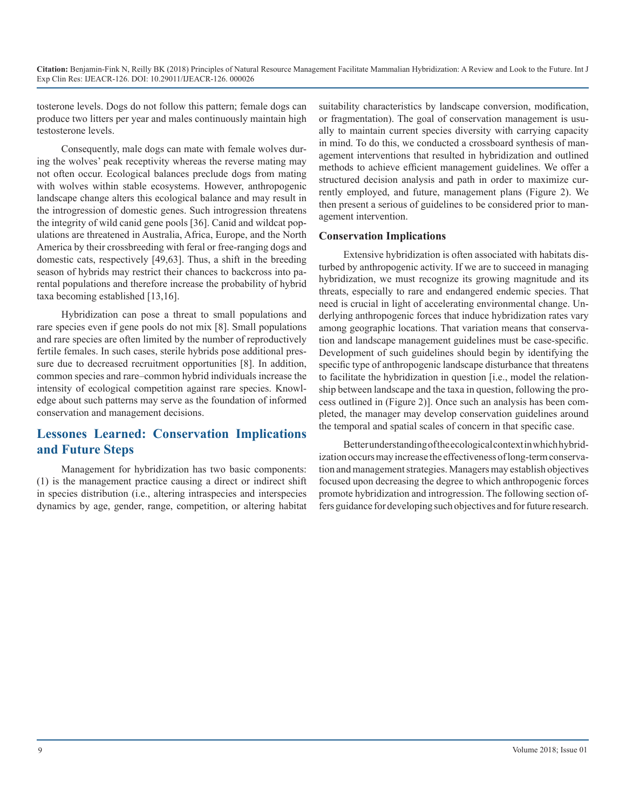tosterone levels. Dogs do not follow this pattern; female dogs can produce two litters per year and males continuously maintain high testosterone levels.

Consequently, male dogs can mate with female wolves during the wolves' peak receptivity whereas the reverse mating may not often occur. Ecological balances preclude dogs from mating with wolves within stable ecosystems. However, anthropogenic landscape change alters this ecological balance and may result in the introgression of domestic genes. Such introgression threatens the integrity of wild canid gene pools [36]. Canid and wildcat populations are threatened in Australia, Africa, Europe, and the North America by their crossbreeding with feral or free-ranging dogs and domestic cats, respectively [49,63]. Thus, a shift in the breeding season of hybrids may restrict their chances to backcross into parental populations and therefore increase the probability of hybrid taxa becoming established [13,16].

Hybridization can pose a threat to small populations and rare species even if gene pools do not mix [8]. Small populations and rare species are often limited by the number of reproductively fertile females. In such cases, sterile hybrids pose additional pressure due to decreased recruitment opportunities [8]. In addition, common species and rare–common hybrid individuals increase the intensity of ecological competition against rare species. Knowledge about such patterns may serve as the foundation of informed conservation and management decisions.

# **Lessones Learned: Conservation Implications and Future Steps**

Management for hybridization has two basic components: (1) is the management practice causing a direct or indirect shift in species distribution (i.e., altering intraspecies and interspecies dynamics by age, gender, range, competition, or altering habitat suitability characteristics by landscape conversion, modification, or fragmentation). The goal of conservation management is usually to maintain current species diversity with carrying capacity in mind. To do this, we conducted a crossboard synthesis of management interventions that resulted in hybridization and outlined methods to achieve efficient management guidelines. We offer a structured decision analysis and path in order to maximize currently employed, and future, management plans (Figure 2). We then present a serious of guidelines to be considered prior to management intervention.

#### **Conservation Implications**

Extensive hybridization is often associated with habitats disturbed by anthropogenic activity. If we are to succeed in managing hybridization, we must recognize its growing magnitude and its threats, especially to rare and endangered endemic species. That need is crucial in light of accelerating environmental change. Underlying anthropogenic forces that induce hybridization rates vary among geographic locations. That variation means that conservation and landscape management guidelines must be case-specific. Development of such guidelines should begin by identifying the specific type of anthropogenic landscape disturbance that threatens to facilitate the hybridization in question [i.e., model the relationship between landscape and the taxa in question, following the process outlined in (Figure 2)]. Once such an analysis has been completed, the manager may develop conservation guidelines around the temporal and spatial scales of concern in that specific case.

Better understanding of the ecological context in which hybridization occurs may increase the effectiveness of long-term conservation and management strategies. Managers may establish objectives focused upon decreasing the degree to which anthropogenic forces promote hybridization and introgression. The following section offers guidance for developing such objectives and for future research.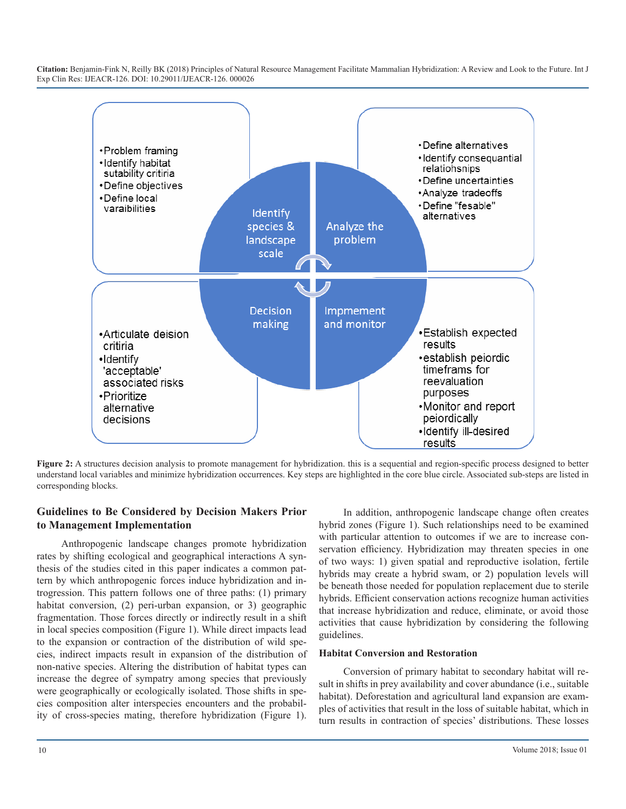

**Figure 2:** A structures decision analysis to promote management for hybridization. this is a sequential and region-specific process designed to better understand local variables and minimize hybridization occurrences. Key steps are highlighted in the core blue circle. Associated sub-steps are listed in corresponding blocks.

#### **Guidelines to Be Considered by Decision Makers Prior to Management Implementation**

Anthropogenic landscape changes promote hybridization rates by shifting ecological and geographical interactions A synthesis of the studies cited in this paper indicates a common pattern by which anthropogenic forces induce hybridization and introgression. This pattern follows one of three paths: (1) primary habitat conversion, (2) peri-urban expansion, or 3) geographic fragmentation. Those forces directly or indirectly result in a shift in local species composition (Figure 1). While direct impacts lead to the expansion or contraction of the distribution of wild species, indirect impacts result in expansion of the distribution of non-native species. Altering the distribution of habitat types can increase the degree of sympatry among species that previously were geographically or ecologically isolated. Those shifts in species composition alter interspecies encounters and the probability of cross-species mating, therefore hybridization (Figure 1).

In addition, anthropogenic landscape change often creates hybrid zones (Figure 1). Such relationships need to be examined with particular attention to outcomes if we are to increase conservation efficiency. Hybridization may threaten species in one of two ways: 1) given spatial and reproductive isolation, fertile hybrids may create a hybrid swam, or 2) population levels will be beneath those needed for population replacement due to sterile hybrids. Efficient conservation actions recognize human activities that increase hybridization and reduce, eliminate, or avoid those activities that cause hybridization by considering the following guidelines.

#### **Habitat Conversion and Restoration**

Conversion of primary habitat to secondary habitat will result in shifts in prey availability and cover abundance (i.e., suitable habitat). Deforestation and agricultural land expansion are examples of activities that result in the loss of suitable habitat, which in turn results in contraction of species' distributions. These losses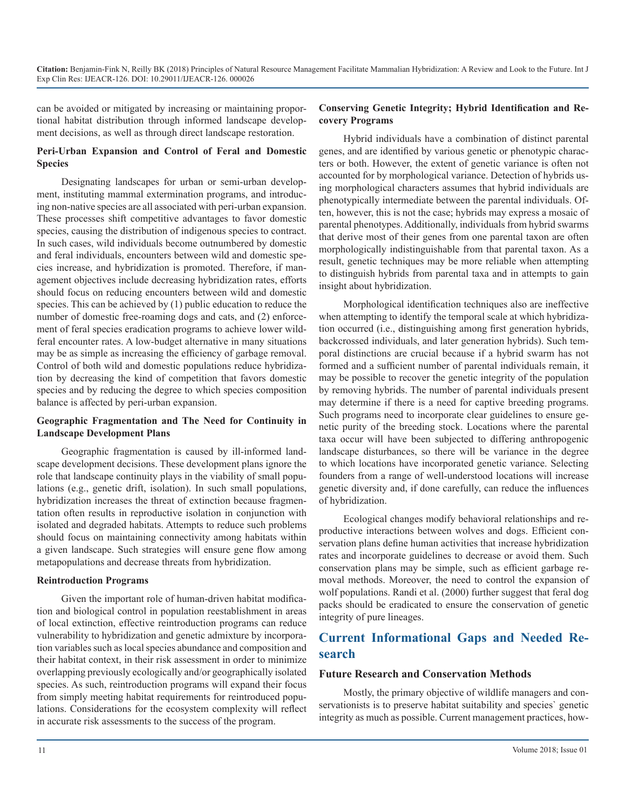can be avoided or mitigated by increasing or maintaining proportional habitat distribution through informed landscape development decisions, as well as through direct landscape restoration.

#### **Peri-Urban Expansion and Control of Feral and Domestic Species**

Designating landscapes for urban or semi-urban development, instituting mammal extermination programs, and introducing non-native species are all associated with peri-urban expansion. These processes shift competitive advantages to favor domestic species, causing the distribution of indigenous species to contract. In such cases, wild individuals become outnumbered by domestic and feral individuals, encounters between wild and domestic species increase, and hybridization is promoted. Therefore, if management objectives include decreasing hybridization rates, efforts should focus on reducing encounters between wild and domestic species. This can be achieved by (1) public education to reduce the number of domestic free-roaming dogs and cats, and (2) enforcement of feral species eradication programs to achieve lower wildferal encounter rates. A low-budget alternative in many situations may be as simple as increasing the efficiency of garbage removal. Control of both wild and domestic populations reduce hybridization by decreasing the kind of competition that favors domestic species and by reducing the degree to which species composition balance is affected by peri-urban expansion.

#### **Geographic Fragmentation and The Need for Continuity in Landscape Development Plans**

Geographic fragmentation is caused by ill-informed landscape development decisions. These development plans ignore the role that landscape continuity plays in the viability of small populations (e.g., genetic drift, isolation). In such small populations, hybridization increases the threat of extinction because fragmentation often results in reproductive isolation in conjunction with isolated and degraded habitats. Attempts to reduce such problems should focus on maintaining connectivity among habitats within a given landscape. Such strategies will ensure gene flow among metapopulations and decrease threats from hybridization.

#### **Reintroduction Programs**

Given the important role of human-driven habitat modification and biological control in population reestablishment in areas of local extinction, effective reintroduction programs can reduce vulnerability to hybridization and genetic admixture by incorporation variables such as local species abundance and composition and their habitat context, in their risk assessment in order to minimize overlapping previously ecologically and/or geographically isolated species. As such, reintroduction programs will expand their focus from simply meeting habitat requirements for reintroduced populations. Considerations for the ecosystem complexity will reflect in accurate risk assessments to the success of the program.

#### **Conserving Genetic Integrity; Hybrid Identification and Recovery Programs**

Hybrid individuals have a combination of distinct parental genes, and are identified by various genetic or phenotypic characters or both. However, the extent of genetic variance is often not accounted for by morphological variance. Detection of hybrids using morphological characters assumes that hybrid individuals are phenotypically intermediate between the parental individuals. Often, however, this is not the case; hybrids may express a mosaic of parental phenotypes. Additionally, individuals from hybrid swarms that derive most of their genes from one parental taxon are often morphologically indistinguishable from that parental taxon. As a result, genetic techniques may be more reliable when attempting to distinguish hybrids from parental taxa and in attempts to gain insight about hybridization.

Morphological identification techniques also are ineffective when attempting to identify the temporal scale at which hybridization occurred (i.e., distinguishing among first generation hybrids, backcrossed individuals, and later generation hybrids). Such temporal distinctions are crucial because if a hybrid swarm has not formed and a sufficient number of parental individuals remain, it may be possible to recover the genetic integrity of the population by removing hybrids. The number of parental individuals present may determine if there is a need for captive breeding programs. Such programs need to incorporate clear guidelines to ensure genetic purity of the breeding stock. Locations where the parental taxa occur will have been subjected to differing anthropogenic landscape disturbances, so there will be variance in the degree to which locations have incorporated genetic variance. Selecting founders from a range of well-understood locations will increase genetic diversity and, if done carefully, can reduce the influences of hybridization.

Ecological changes modify behavioral relationships and reproductive interactions between wolves and dogs. Efficient conservation plans define human activities that increase hybridization rates and incorporate guidelines to decrease or avoid them. Such conservation plans may be simple, such as efficient garbage removal methods. Moreover, the need to control the expansion of wolf populations. Randi et al. (2000) further suggest that feral dog packs should be eradicated to ensure the conservation of genetic integrity of pure lineages.

# **Current Informational Gaps and Needed Research**

#### **Future Research and Conservation Methods**

Mostly, the primary objective of wildlife managers and conservationists is to preserve habitat suitability and species` genetic integrity as much as possible. Current management practices, how-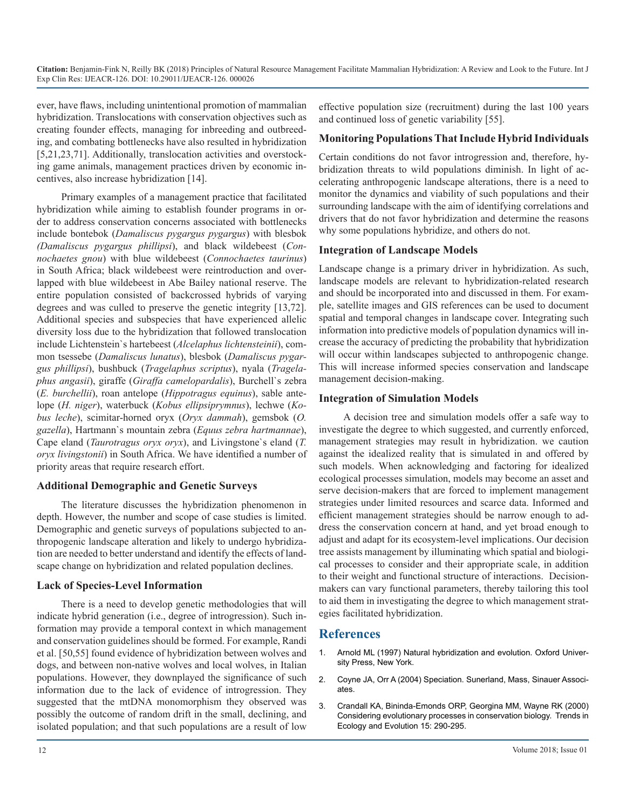ever, have flaws, including unintentional promotion of mammalian hybridization. Translocations with conservation objectives such as creating founder effects, managing for inbreeding and outbreeding, and combating bottlenecks have also resulted in hybridization [5,21,23,71]. Additionally, translocation activities and overstocking game animals, management practices driven by economic incentives, also increase hybridization [14].

Primary examples of a management practice that facilitated hybridization while aiming to establish founder programs in order to address conservation concerns associated with bottlenecks include bontebok (*Damaliscus pygargus pygargus*) with blesbok *(Damaliscus pygargus phillipsi*), and black wildebeest (*Connochaetes gnou*) with blue wildebeest (*Connochaetes taurinus*) in South Africa; black wildebeest were reintroduction and overlapped with blue wildebeest in Abe Bailey national reserve. The entire population consisted of backcrossed hybrids of varying degrees and was culled to preserve the genetic integrity [13,72]. Additional species and subspecies that have experienced allelic diversity loss due to the hybridization that followed translocation include Lichtenstein`s hartebeest (*Alcelaphus lichtensteinii*), common tsessebe (*Damaliscus lunatus*), blesbok (*Damaliscus pygargus phillipsi*), bushbuck (*Tragelaphus scriptus*), nyala (*Tragelaphus angasii*), giraffe (*Giraffa camelopardalis*), Burchell`s zebra (*E. burchellii*), roan antelope (*Hippotragus equinus*), sable antelope (*H. niger*), waterbuck (*Kobus ellipsiprymnus*), lechwe (*Kobus leche*), scimitar-horned oryx (*Oryx dammah*), gemsbok (*O. gazella*), Hartmann`s mountain zebra (*Equus zebra hartmannae*), Cape eland (*Taurotragus oryx oryx*), and Livingstone`s eland (*T. oryx livingstonii*) in South Africa. We have identified a number of priority areas that require research effort.

#### **Additional Demographic and Genetic Surveys**

The literature discusses the hybridization phenomenon in depth. However, the number and scope of case studies is limited. Demographic and genetic surveys of populations subjected to anthropogenic landscape alteration and likely to undergo hybridization are needed to better understand and identify the effects of landscape change on hybridization and related population declines.

#### **Lack of Species-Level Information**

There is a need to develop genetic methodologies that will indicate hybrid generation (i.e., degree of introgression). Such information may provide a temporal context in which management and conservation guidelines should be formed. For example, Randi et al. [50,55] found evidence of hybridization between wolves and dogs, and between non-native wolves and local wolves, in Italian populations. However, they downplayed the significance of such information due to the lack of evidence of introgression. They suggested that the mtDNA monomorphism they observed was possibly the outcome of random drift in the small, declining, and isolated population; and that such populations are a result of low

effective population size (recruitment) during the last 100 years and continued loss of genetic variability [55].

#### **Monitoring Populations That Include Hybrid Individuals**

Certain conditions do not favor introgression and, therefore, hybridization threats to wild populations diminish. In light of accelerating anthropogenic landscape alterations, there is a need to monitor the dynamics and viability of such populations and their surrounding landscape with the aim of identifying correlations and drivers that do not favor hybridization and determine the reasons why some populations hybridize, and others do not.

#### **Integration of Landscape Models**

Landscape change is a primary driver in hybridization. As such, landscape models are relevant to hybridization-related research and should be incorporated into and discussed in them. For example, satellite images and GIS references can be used to document spatial and temporal changes in landscape cover. Integrating such information into predictive models of population dynamics will increase the accuracy of predicting the probability that hybridization will occur within landscapes subjected to anthropogenic change. This will increase informed species conservation and landscape management decision-making.

#### **Integration of Simulation Models**

A decision tree and simulation models offer a safe way to investigate the degree to which suggested, and currently enforced, management strategies may result in hybridization. we caution against the idealized reality that is simulated in and offered by such models. When acknowledging and factoring for idealized ecological processes simulation, models may become an asset and serve decision-makers that are forced to implement management strategies under limited resources and scarce data. Informed and efficient management strategies should be narrow enough to address the conservation concern at hand, and yet broad enough to adjust and adapt for its ecosystem-level implications. Our decision tree assists management by illuminating which spatial and biological processes to consider and their appropriate scale, in addition to their weight and functional structure of interactions. Decisionmakers can vary functional parameters, thereby tailoring this tool to aid them in investigating the degree to which management strategies facilitated hybridization.

#### **References**

- 1. Arnold ML (1997) Natural hybridization and evolution. Oxford University Press, New York.
- 2. Coyne JA, Orr A (2004) Speciation. Sunerland, Mass, Sinauer Associates.
- 3. [Crandall KA, Bininda-Emonds ORP, Georgina MM, Wayne RK \(2000\)](https://www.ncbi.nlm.nih.gov/pubmed/10856956)  Considering evolutionary processes in conservation biology. Trends in [Ecology and Evolution 15: 290-295.](https://www.ncbi.nlm.nih.gov/pubmed/10856956)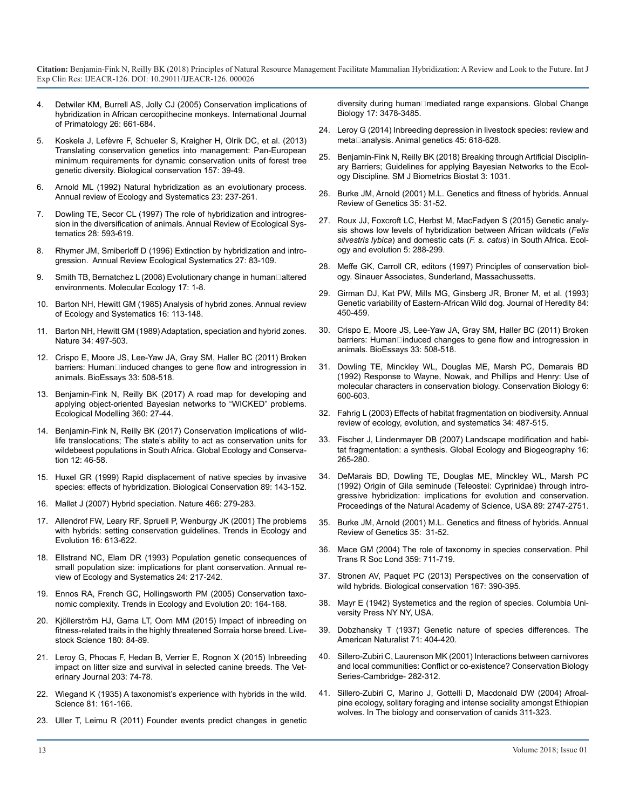- 4. [Detwiler KM, Burrell AS, Jolly CJ \(2005\) Conservation implications o](https://link.springer.com/article/10.1007/s10764-005-4372-0)[f](https://onlinelibrary.wiley.com/doi/abs/10.1111/j.1365-2486.2011.02509.x)  [hybridization in African cercopithecine monkeys. International Journal](https://link.springer.com/article/10.1007/s10764-005-4372-0)  [of Primatology 26: 661-684.](https://link.springer.com/article/10.1007/s10764-005-4372-0)
- 5. [Koskela J, Lefèvre F, Schueler S, Kraigher H, Olrik DC, et al. \(2013\)](https://www.sciencedirect.com/science/article/pii/S0006320712003436) [Translating conservation genetics into management: Pan-European](https://www.sciencedirect.com/science/article/pii/S0006320712003436)  [minimum requirements for dynamic conservation units of forest tree](https://www.sciencedirect.com/science/article/pii/S0006320712003436) [genetic diversity. Biological conservation 157: 39-49.](https://www.sciencedirect.com/science/article/pii/S0006320712003436)
- 6. [Arnold ML \(1992\) Natural hybridization as an evolutionary process.](https://www.annualreviews.org/doi/abs/10.1146/annurev.es.23.110192.001321?journalCode=ecolsys.1)  [Annual review of Ecology and Systematics 23: 237-261.](https://www.annualreviews.org/doi/abs/10.1146/annurev.es.23.110192.001321?journalCode=ecolsys.1)
- 7. [Dowling TE, Secor CL \(1997\) The role of hybridization and introgres](https://www.annualreviews.org/doi/abs/10.1146/annurev.ecolsys.28.1.593)[sion in the diversification of animals. Annual Review of Ecological Sys](https://www.annualreviews.org/doi/abs/10.1146/annurev.ecolsys.28.1.593)[tematics 28: 593-619.](https://www.annualreviews.org/doi/abs/10.1146/annurev.ecolsys.28.1.593)
- 8. [Rhymer JM, Smiberloff D \(1996\) Extinction by hybridization and intro](https://www.annualreviews.org/doi/abs/10.1146/annurev.ecolsys.27.1.83)[gression. Annual Review Ecological Systematics 27: 83-109.](https://www.annualreviews.org/doi/abs/10.1146/annurev.ecolsys.27.1.83)
- 9. Smith TB, Bernatchez L (2008) Evolutionary change in human altered [environments. Molecular Ecology 17: 1-8.](https://onlinelibrary.wiley.com/doi/abs/10.1111/j.1365-294X.2007.03607.x)
- 10. [Barton NH, Hewitt GM \(1985\) Analysis of hybrid zones. Annual review](https://www.annualreviews.org/doi/abs/10.1146/annurev.es.16.110185.000553)  [of Ecology and Systematics 16: 113-148.](https://www.annualreviews.org/doi/abs/10.1146/annurev.es.16.110185.000553)
- 11. [Barton NH, Hewitt GM \(1989\) Adaptation, speciation and hybrid zones.](https://www.nature.com/articles/341497a0)  [Nature 34: 497-503.](https://www.nature.com/articles/341497a0)
- 12. [Crispo E, Moore JS, Lee-Yaw JA, Gray SM, Haller BC \(2011\) Broken](https://www.ncbi.nlm.nih.gov/pubmed/21523794)  barriers: Human□induced changes to gene flow and introgression in [animals. BioEssays 33: 508-518.](https://www.ncbi.nlm.nih.gov/pubmed/21523794)
- 13. [Benjamin-Fink N, Reilly BK \(2017\) A road map for developing and](https://www.sciencedirect.com/science/article/pii/S0304380016307955)  [applying object-oriented Bayesian networks to "WICKED" problems.](https://www.sciencedirect.com/science/article/pii/S0304380016307955)  [Ecological Modelling 360: 27-44.](https://www.sciencedirect.com/science/article/pii/S0304380016307955)
- 14. [Benjamin-Fink N, Reilly BK \(2017\) Conservation implications of wild](https://www.sciencedirect.com/science/article/pii/S2351989417301361)[life translocations; The state's ability to act as conservation units for](https://www.sciencedirect.com/science/article/pii/S2351989417301361) [wildebeest populations in South Africa. Global Ecology and Conserva](https://www.sciencedirect.com/science/article/pii/S2351989417301361)[tion 12: 46-58.](https://www.sciencedirect.com/science/article/pii/S2351989417301361)
- 15. [Huxel GR \(1999\) Rapid displacement of native species by invasive](https://www.sciencedirect.com/science/article/pii/S0006320798001530)  [species: effects of hybridization. Biological Conservation 89: 143-152.](https://www.sciencedirect.com/science/article/pii/S0006320798001530)
- 16. [Mallet J \(2007\) Hybrid speciation. Nature 466: 279-283.](https://www.nature.com/articles/nature05706)
- 17. [Allendrof FW, Leary RF, Spruell P, Wenburgy JK \(2001\) The problems](https://www.sciencedirect.com/science/article/pii/S016953470102290X) [with hybrids: setting conservation guidelines. Trends in Ecology an](https://www.sciencedirect.com/science/article/pii/S016953470102290X)[d](https://www.ncbi.nlm.nih.gov/pubmed/11700276)  [Evolution 16: 613-622.](https://www.sciencedirect.com/science/article/pii/S016953470102290X)
- 18. [Ellstrand NC, Elam DR \(1993\) Population genetic consequences of](https://www.annualreviews.org/doi/abs/10.1146/annurev.es.24.110193.001245) [small population size: implications for plant conservation. Annual re](https://www.annualreviews.org/doi/abs/10.1146/annurev.es.24.110193.001245)[view of Ecology and Systematics 24: 217-242.](https://www.annualreviews.org/doi/abs/10.1146/annurev.es.24.110193.001245)
- 19. [Ennos RA, French GC, Hollingsworth PM \(2005\) Conservation taxo](https://www.ncbi.nlm.nih.gov/pubmed/16701363)[nomic complexity. Trends in Ecology and Evolution 20: 164-168.](https://www.ncbi.nlm.nih.gov/pubmed/16701363)
- 20. [Kjöllerström HJ, Gama LT, Oom MM \(2015\) Impact of inbreeding on](https://www.sciencedirect.com/science/article/pii/S1871141315003637)  [fitness-related traits in the highly threatened Sorraia horse breed. Live](https://www.sciencedirect.com/science/article/pii/S1871141315003637)[stock Science 180: 84-89](https://www.sciencedirect.com/science/article/pii/S1871141315003637)[.](https://www.journals.uchicago.edu/doi/abs/10.1086/280726?journalCode=an)
- 21. [Leroy G, Phocas F, Hedan B, Verrier E, Rognon X \(2015\) Inbreeding](https://www.ncbi.nlm.nih.gov/pubmed/25475165)  [impact on litter size and survival in selected canine breeds. The Vet](https://www.ncbi.nlm.nih.gov/pubmed/25475165)[erinary Journal 203: 74-78.](https://www.ncbi.nlm.nih.gov/pubmed/25475165)
- 22. [Wiegand K \(1935\) A taxonomist's experience with hybrids in the wild.](https://www.ncbi.nlm.nih.gov/pubmed/17817007) [Science 81: 161-166.](https://www.ncbi.nlm.nih.gov/pubmed/17817007)
- 23. [Uller T, Leimu R \(2011\) Founder events predict changes in genetic](https://onlinelibrary.wiley.com/doi/abs/10.1111/j.1365-2486.2011.02509.x)

diversity during human□mediated range expansions. Global Change [Biology 17: 3478-3485.](https://onlinelibrary.wiley.com/doi/abs/10.1111/j.1365-2486.2011.02509.x)

- 24. [Leroy G \(2014\) Inbreeding depression in livestock species: review and](https://www.ncbi.nlm.nih.gov/pubmed/24975026)  meta□analysis. Animal genetics 45: 618-628.
- 25. Benjamin-Fink N, Reilly BK (2018) Breaking through Artificial Disciplinary Barriers; Guidelines for applying Bayesian Networks to the Ecology Discipline. SM J Biometrics Biostat 3: 1031.
- 26. [Burke JM, Arnold \(2001\) M.L. Genetics and fitness of hybrids. Annual](https://www.ncbi.nlm.nih.gov/pubmed/11700276)  [Review of Genetics 35: 31-52.](https://www.ncbi.nlm.nih.gov/pubmed/11700276)
- 27. [Roux JJ, Foxcroft LC, Herbst M, MacFadyen S \(2015\) Genetic analy](https://www.ncbi.nlm.nih.gov/pubmed/25691958)[sis shows low levels of hybridization between African wildcats \(](https://www.ncbi.nlm.nih.gov/pubmed/25691958)*Felis silvestris lybica*) and domestic cats (*F. s. catus*[\) in South Africa. Ecol](https://www.ncbi.nlm.nih.gov/pubmed/25691958)[ogy and evolution 5: 288-299.](https://www.ncbi.nlm.nih.gov/pubmed/25691958)
- 28. Meffe GK, Carroll CR, editors (1997) Principles of conservation biology. Sinauer Associates, Sunderland, Massachussetts.
- 29. [Girman DJ, Kat PW, Mills MG, Ginsberg JR, Broner M, et al. \(1993\)](https://www.ncbi.nlm.nih.gov/pubmed/7903676)  [Genetic variability of Eastern-African Wild dog. Journal of Heredity 84:](https://www.ncbi.nlm.nih.gov/pubmed/7903676) [450-459.](https://www.ncbi.nlm.nih.gov/pubmed/7903676)
- 30. [Crispo E, Moore JS, Lee-Yaw JA, Gray SM, Haller BC \(2011\) Broken](https://www.ncbi.nlm.nih.gov/pubmed/21523794)  barriers: Human□induced changes to gene flow and introgression in [animals. BioEssays 33: 508-518.](https://www.ncbi.nlm.nih.gov/pubmed/21523794)
- 31. [Dowling TE, Minckley WL, Douglas ME, Marsh PC, Demarais BD](https://onlinelibrary.wiley.com/doi/abs/10.1046/j.1523-1739.1992.06040600.x) [\(1992\) Response to Wayne, Nowak, and Phillips and Henry: Use of](https://onlinelibrary.wiley.com/doi/abs/10.1046/j.1523-1739.1992.06040600.x) [molecular characters in conservation biology. Conservation Biology 6:](https://onlinelibrary.wiley.com/doi/abs/10.1046/j.1523-1739.1992.06040600.x)  [600-603.](https://onlinelibrary.wiley.com/doi/abs/10.1046/j.1523-1739.1992.06040600.x)
- 32. [Fahrig L \(2003\) Effects of habitat fragmentation on biodiversity. Annual](https://www.annualreviews.org/doi/abs/10.1146/annurev.ecolsys.34.011802.132419)  [review of ecology, evolution, and systematics 34: 487-515.](https://www.annualreviews.org/doi/abs/10.1146/annurev.ecolsys.34.011802.132419)
- 33. [Fischer J, Lindenmayer DB \(2007\) Landscape modification and habi](https://onlinelibrary.wiley.com/doi/10.1111/j.1466-8238.2007.00287.x)[tat fragmentation: a synthesis. Global Ecology and Biogeography 16:](https://onlinelibrary.wiley.com/doi/10.1111/j.1466-8238.2007.00287.x)  [265-280.](https://onlinelibrary.wiley.com/doi/10.1111/j.1466-8238.2007.00287.x)
- 34. [DeMarais BD, Dowling TE, Douglas ME, Minckley WL, Marsh PC](https://www.ncbi.nlm.nih.gov/pmc/articles/PMC48739/) [\(1992\) Origin of Gila seminude \(Teleostei: Cyprinidae\) through intro](https://www.ncbi.nlm.nih.gov/pmc/articles/PMC48739/)[gressive hybridization: implications for evolution and conservation.](https://www.ncbi.nlm.nih.gov/pmc/articles/PMC48739/)  [Proceedings of the Natural Academy of Science, USA 89: 2747-2751.](https://www.ncbi.nlm.nih.gov/pmc/articles/PMC48739/)
- 35. [Burke JM, Arnold \(2001\) M.L. Genetics and fitness of hybrids. Annual](https://www.ncbi.nlm.nih.gov/pubmed/11700276)  Review of Genetics 35: 31-52.
- 36. [Mace GM \(2004\) The role of taxonomy in species conservation. Phil](https://www.ncbi.nlm.nih.gov/pmc/articles/PMC1693347/)  Trans R Soc Lond 359: 711-719.
- 37. [Stronen AV, Paquet PC \(2013\) Perspectives on the conservation of](https://www.sciencedirect.com/science/article/pii/S0006320713003133)  [wild hybrids. Biological conservation 167: 390-395.](https://www.sciencedirect.com/science/article/pii/S0006320713003133)
- 38. [Mayr E \(1942\) Systemetics and the region of species. Columbia Uni](http://www.hup.harvard.edu/catalog.php?isbn=9780674862500)[versity Press NY NY, USA.](http://www.hup.harvard.edu/catalog.php?isbn=9780674862500)
- 39. [Dobzhansky T \(1937\) Genetic nature of species differences.](https://www.journals.uchicago.edu/doi/abs/10.1086/280726?journalCode=an) The American Naturalist 71: 404-420.
- 40. [Sillero-Zubiri C, Laurenson MK \(2001\) Interactions between carnivores](https://www.researchgate.net/publication/260707232_Interactions_between_carnivores_and_local_communities_Conflict_or_co-existence)  [and local communities: Conflict or co-existence? Conservation Biology](https://www.researchgate.net/publication/260707232_Interactions_between_carnivores_and_local_communities_Conflict_or_co-existence) [Series-Cambridge- 282-312.](https://www.researchgate.net/publication/260707232_Interactions_between_carnivores_and_local_communities_Conflict_or_co-existence)
- 41. [Sillero-Zubiri C, Marino J, Gottelli D, Macdonald DW \(2004\) Afroal](https://www.researchgate.net/publication/260707182_Afroalpine_ecology_solitary_foraging_and_intense_sociality_amongst_Ethiopian_wolves)[pine ecology, solitary foraging and intense sociality amongst Ethiopian](https://www.researchgate.net/publication/260707182_Afroalpine_ecology_solitary_foraging_and_intense_sociality_amongst_Ethiopian_wolves)  [wolves. In The biology and conservation of canids 311-323.](https://www.researchgate.net/publication/260707182_Afroalpine_ecology_solitary_foraging_and_intense_sociality_amongst_Ethiopian_wolves)